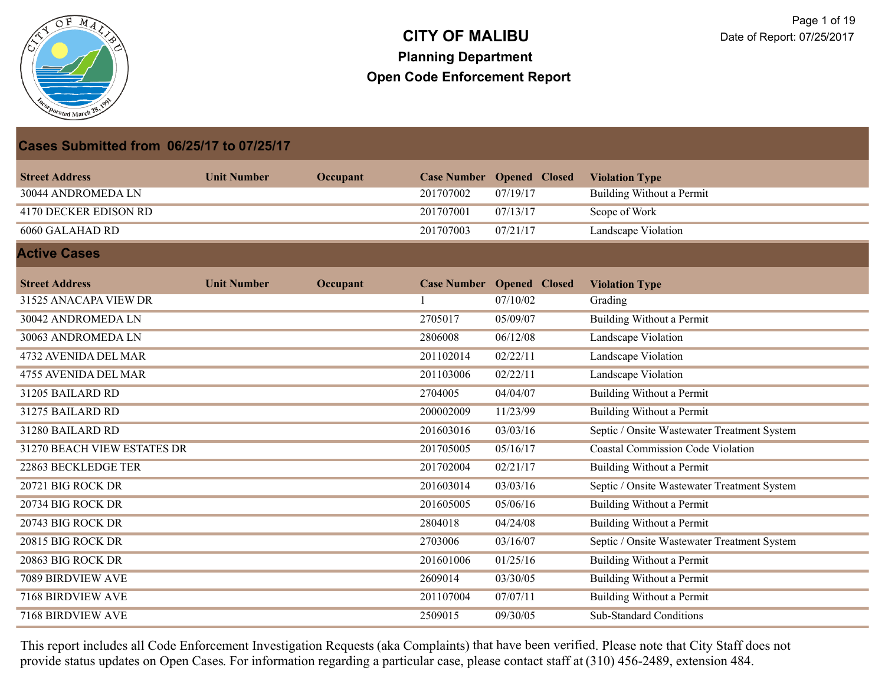

| <b>Cases Submitted from 06/25/17 to 07/25/17</b> |                    |          |           |                                  |                                             |
|--------------------------------------------------|--------------------|----------|-----------|----------------------------------|---------------------------------------------|
| <b>Street Address</b>                            | <b>Unit Number</b> | Occupant |           | <b>Case Number Opened Closed</b> | <b>Violation Type</b>                       |
| 30044 ANDROMEDA LN                               |                    |          | 201707002 | 07/19/17                         | Building Without a Permit                   |
| <b>4170 DECKER EDISON RD</b>                     |                    |          | 201707001 | 07/13/17                         | Scope of Work                               |
| 6060 GALAHAD RD                                  |                    |          | 201707003 | 07/21/17                         | <b>Landscape Violation</b>                  |
| <b>Active Cases</b>                              |                    |          |           |                                  |                                             |
| <b>Street Address</b>                            | <b>Unit Number</b> | Occupant |           | <b>Case Number Opened Closed</b> | <b>Violation Type</b>                       |
| 31525 ANACAPA VIEW DR                            |                    |          |           | 07/10/02                         | Grading                                     |
| 30042 ANDROMEDA LN                               |                    |          | 2705017   | 05/09/07                         | Building Without a Permit                   |
| 30063 ANDROMEDA LN                               |                    |          | 2806008   | 06/12/08                         | Landscape Violation                         |
| 4732 AVENIDA DEL MAR                             |                    |          | 201102014 | 02/22/11                         | Landscape Violation                         |
| 4755 AVENIDA DEL MAR                             |                    |          | 201103006 | 02/22/11                         | Landscape Violation                         |
| 31205 BAILARD RD                                 |                    |          | 2704005   | 04/04/07                         | <b>Building Without a Permit</b>            |
| 31275 BAILARD RD                                 |                    |          | 200002009 | 11/23/99                         | <b>Building Without a Permit</b>            |
| 31280 BAILARD RD                                 |                    |          | 201603016 | 03/03/16                         | Septic / Onsite Wastewater Treatment System |
| 31270 BEACH VIEW ESTATES DR                      |                    |          | 201705005 | 05/16/17                         | <b>Coastal Commission Code Violation</b>    |
| 22863 BECKLEDGE TER                              |                    |          | 201702004 | 02/21/17                         | Building Without a Permit                   |
| 20721 BIG ROCK DR                                |                    |          | 201603014 | 03/03/16                         | Septic / Onsite Wastewater Treatment System |
| 20734 BIG ROCK DR                                |                    |          | 201605005 | 05/06/16                         | <b>Building Without a Permit</b>            |
| 20743 BIG ROCK DR                                |                    |          | 2804018   | 04/24/08                         | <b>Building Without a Permit</b>            |
| 20815 BIG ROCK DR                                |                    |          | 2703006   | 03/16/07                         | Septic / Onsite Wastewater Treatment System |
| 20863 BIG ROCK DR                                |                    |          | 201601006 | 01/25/16                         | <b>Building Without a Permit</b>            |
| 7089 BIRDVIEW AVE                                |                    |          | 2609014   | 03/30/05                         | <b>Building Without a Permit</b>            |
| 7168 BIRDVIEW AVE                                |                    |          | 201107004 | 07/07/11                         | Building Without a Permit                   |
| 7168 BIRDVIEW AVE                                |                    |          | 2509015   | 09/30/05                         | <b>Sub-Standard Conditions</b>              |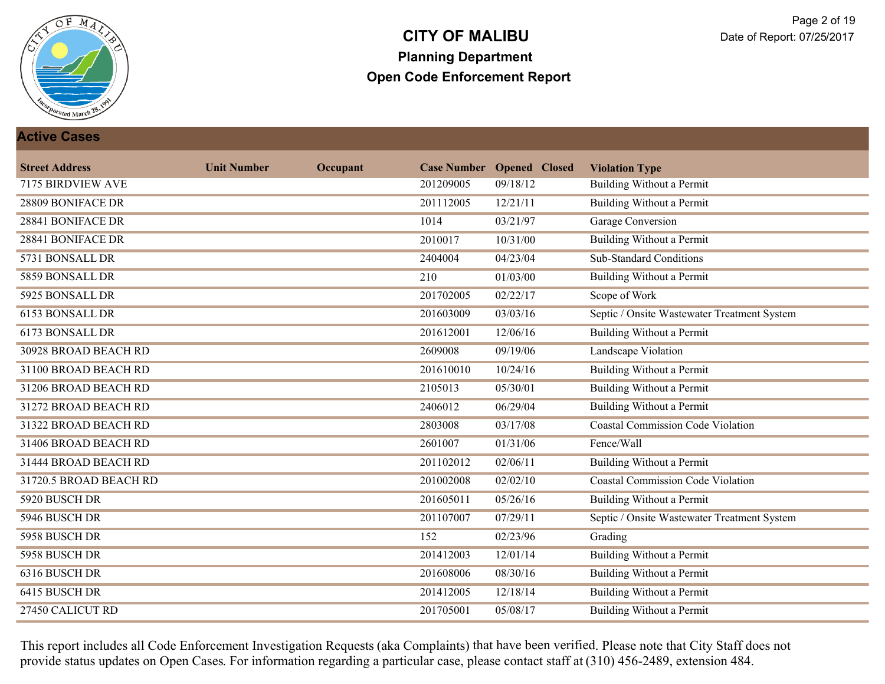

#### **Active Cases**

| <b>Street Address</b>  | <b>Unit Number</b> | Occupant |                  | <b>Case Number Opened Closed</b> | <b>Violation Type</b>                       |
|------------------------|--------------------|----------|------------------|----------------------------------|---------------------------------------------|
| 7175 BIRDVIEW AVE      |                    |          | 201209005        | 09/18/12                         | Building Without a Permit                   |
| 28809 BONIFACE DR      |                    |          | 201112005        | 12/21/11                         | <b>Building Without a Permit</b>            |
| 28841 BONIFACE DR      |                    |          | 1014             | 03/21/97                         | <b>Garage Conversion</b>                    |
| 28841 BONIFACE DR      |                    |          | 2010017          | 10/31/00                         | <b>Building Without a Permit</b>            |
| 5731 BONSALL DR        |                    |          | 2404004          | 04/23/04                         | <b>Sub-Standard Conditions</b>              |
| 5859 BONSALL DR        |                    |          | $\overline{210}$ | 01/03/00                         | <b>Building Without a Permit</b>            |
| 5925 BONSALL DR        |                    |          | 201702005        | 02/22/17                         | Scope of Work                               |
| 6153 BONSALL DR        |                    |          | 201603009        | 03/03/16                         | Septic / Onsite Wastewater Treatment System |
| 6173 BONSALL DR        |                    |          | 201612001        | 12/06/16                         | <b>Building Without a Permit</b>            |
| 30928 BROAD BEACH RD   |                    |          | 2609008          | 09/19/06                         | <b>Landscape Violation</b>                  |
| 31100 BROAD BEACH RD   |                    |          | 201610010        | 10/24/16                         | <b>Building Without a Permit</b>            |
| 31206 BROAD BEACH RD   |                    |          | 2105013          | 05/30/01                         | Building Without a Permit                   |
| 31272 BROAD BEACH RD   |                    |          | 2406012          | 06/29/04                         | <b>Building Without a Permit</b>            |
| 31322 BROAD BEACH RD   |                    |          | 2803008          | 03/17/08                         | <b>Coastal Commission Code Violation</b>    |
| 31406 BROAD BEACH RD   |                    |          | 2601007          | 01/31/06                         | Fence/Wall                                  |
| 31444 BROAD BEACH RD   |                    |          | 201102012        | 02/06/11                         | Building Without a Permit                   |
| 31720.5 BROAD BEACH RD |                    |          | 201002008        | 02/02/10                         | <b>Coastal Commission Code Violation</b>    |
| 5920 BUSCH DR          |                    |          | 201605011        | 05/26/16                         | <b>Building Without a Permit</b>            |
| 5946 BUSCH DR          |                    |          | 201107007        | 07/29/11                         | Septic / Onsite Wastewater Treatment System |
| 5958 BUSCH DR          |                    |          | 152              | 02/23/96                         | Grading                                     |
| 5958 BUSCH DR          |                    |          | 201412003        | 12/01/14                         | <b>Building Without a Permit</b>            |
| 6316 BUSCH DR          |                    |          | 201608006        | 08/30/16                         | <b>Building Without a Permit</b>            |
| 6415 BUSCH DR          |                    |          | 201412005        | 12/18/14                         | Building Without a Permit                   |
| 27450 CALICUT RD       |                    |          | 201705001        | 05/08/17                         | <b>Building Without a Permit</b>            |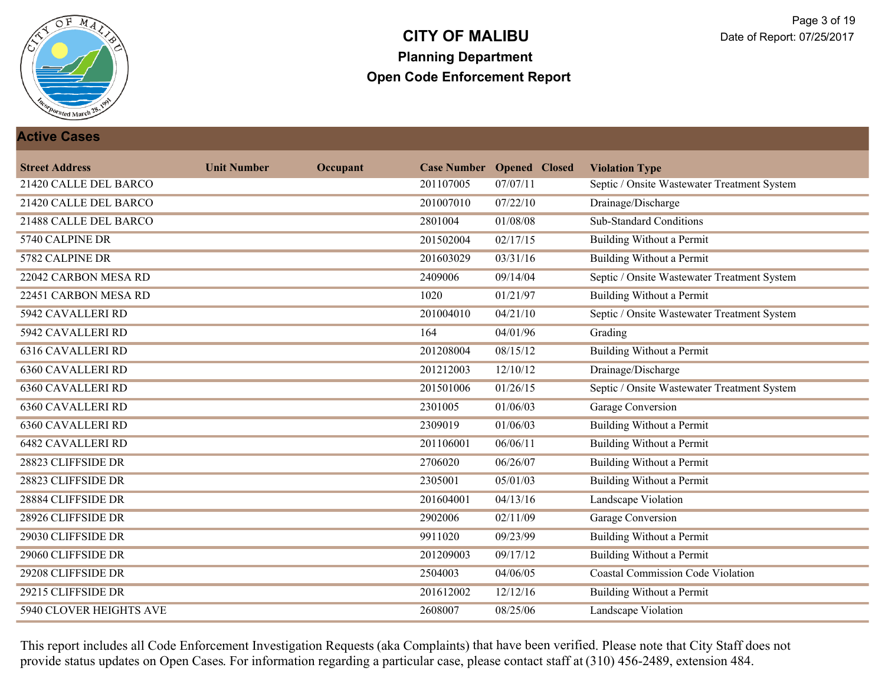

#### **Active Cases**

| <b>Street Address</b>          | <b>Unit Number</b> | Occupant |           | <b>Case Number Opened Closed</b> | <b>Violation Type</b>                       |
|--------------------------------|--------------------|----------|-----------|----------------------------------|---------------------------------------------|
| 21420 CALLE DEL BARCO          |                    |          | 201107005 | 07/07/11                         | Septic / Onsite Wastewater Treatment System |
| 21420 CALLE DEL BARCO          |                    |          | 201007010 | 07/22/10                         | Drainage/Discharge                          |
| 21488 CALLE DEL BARCO          |                    |          | 2801004   | 01/08/08                         | <b>Sub-Standard Conditions</b>              |
| 5740 CALPINE DR                |                    |          | 201502004 | 02/17/15                         | Building Without a Permit                   |
| 5782 CALPINE DR                |                    |          | 201603029 | 03/31/16                         | <b>Building Without a Permit</b>            |
| 22042 CARBON MESA RD           |                    |          | 2409006   | 09/14/04                         | Septic / Onsite Wastewater Treatment System |
| 22451 CARBON MESA RD           |                    |          | 1020      | 01/21/97                         | <b>Building Without a Permit</b>            |
| 5942 CAVALLERI RD              |                    |          | 201004010 | 04/21/10                         | Septic / Onsite Wastewater Treatment System |
| <b>5942 CAVALLERI RD</b>       |                    |          | 164       | 04/01/96                         | Grading                                     |
| <b>6316 CAVALLERI RD</b>       |                    |          | 201208004 | 08/15/12                         | <b>Building Without a Permit</b>            |
| <b>6360 CAVALLERI RD</b>       |                    |          | 201212003 | 12/10/12                         | Drainage/Discharge                          |
| <b>6360 CAVALLERI RD</b>       |                    |          | 201501006 | 01/26/15                         | Septic / Onsite Wastewater Treatment System |
| <b>6360 CAVALLERI RD</b>       |                    |          | 2301005   | 01/06/03                         | <b>Garage Conversion</b>                    |
| <b>6360 CAVALLERI RD</b>       |                    |          | 2309019   | 01/06/03                         | <b>Building Without a Permit</b>            |
| <b>6482 CAVALLERI RD</b>       |                    |          | 201106001 | 06/06/11                         | <b>Building Without a Permit</b>            |
| 28823 CLIFFSIDE DR             |                    |          | 2706020   | 06/26/07                         | Building Without a Permit                   |
| 28823 CLIFFSIDE DR             |                    |          | 2305001   | 05/01/03                         | Building Without a Permit                   |
| 28884 CLIFFSIDE DR             |                    |          | 201604001 | 04/13/16                         | <b>Landscape Violation</b>                  |
| 28926 CLIFFSIDE DR             |                    |          | 2902006   | 02/11/09                         | Garage Conversion                           |
| 29030 CLIFFSIDE DR             |                    |          | 9911020   | 09/23/99                         | <b>Building Without a Permit</b>            |
| 29060 CLIFFSIDE DR             |                    |          | 201209003 | 09/17/12                         | <b>Building Without a Permit</b>            |
| 29208 CLIFFSIDE DR             |                    |          | 2504003   | 04/06/05                         | <b>Coastal Commission Code Violation</b>    |
| 29215 CLIFFSIDE DR             |                    |          | 201612002 | 12/12/16                         | Building Without a Permit                   |
| <b>5940 CLOVER HEIGHTS AVE</b> |                    |          | 2608007   | 08/25/06                         | <b>Landscape Violation</b>                  |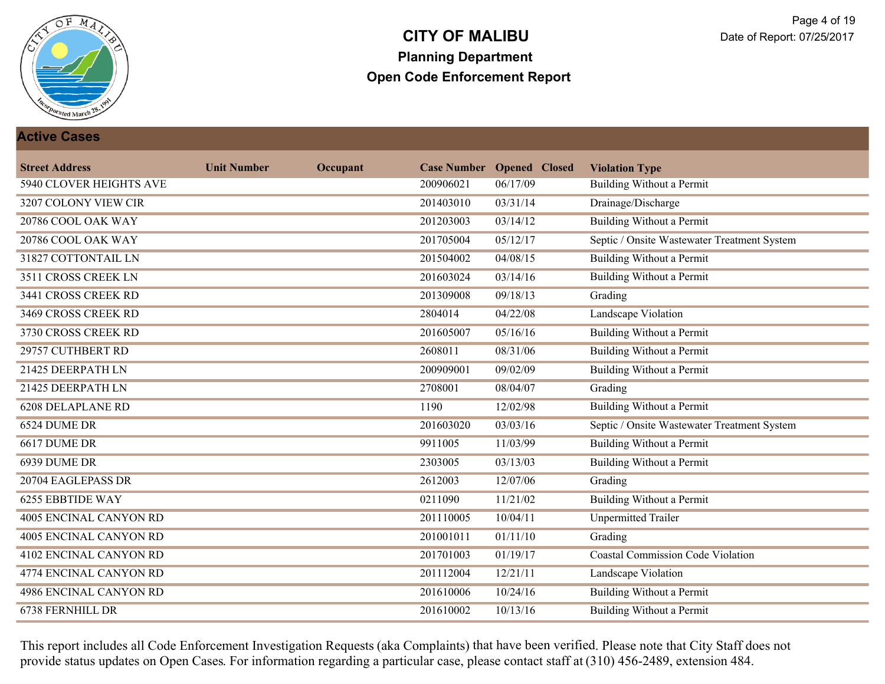

#### **Active Cases**

| <b>Street Address</b>         | <b>Unit Number</b> | Occupant |           | <b>Case Number Opened Closed</b> | <b>Violation Type</b>                       |
|-------------------------------|--------------------|----------|-----------|----------------------------------|---------------------------------------------|
| 5940 CLOVER HEIGHTS AVE       |                    |          | 200906021 | 06/17/09                         | Building Without a Permit                   |
| 3207 COLONY VIEW CIR          |                    |          | 201403010 | 03/31/14                         | Drainage/Discharge                          |
| 20786 COOL OAK WAY            |                    |          | 201203003 | 03/14/12                         | <b>Building Without a Permit</b>            |
| 20786 COOL OAK WAY            |                    |          | 201705004 | 05/12/17                         | Septic / Onsite Wastewater Treatment System |
| 31827 COTTONTAIL LN           |                    |          | 201504002 | 04/08/15                         | <b>Building Without a Permit</b>            |
| 3511 CROSS CREEK LN           |                    |          | 201603024 | 03/14/16                         | <b>Building Without a Permit</b>            |
| 3441 CROSS CREEK RD           |                    |          | 201309008 | 09/18/13                         | Grading                                     |
| 3469 CROSS CREEK RD           |                    |          | 2804014   | 04/22/08                         | Landscape Violation                         |
| 3730 CROSS CREEK RD           |                    |          | 201605007 | 05/16/16                         | <b>Building Without a Permit</b>            |
| 29757 CUTHBERT RD             |                    |          | 2608011   | 08/31/06                         | <b>Building Without a Permit</b>            |
| 21425 DEERPATH LN             |                    |          | 200909001 | 09/02/09                         | <b>Building Without a Permit</b>            |
| 21425 DEERPATH LN             |                    |          | 2708001   | 08/04/07                         | Grading                                     |
| <b>6208 DELAPLANE RD</b>      |                    |          | 1190      | 12/02/98                         | <b>Building Without a Permit</b>            |
| 6524 DUME DR                  |                    |          | 201603020 | 03/03/16                         | Septic / Onsite Wastewater Treatment System |
| 6617 DUME DR                  |                    |          | 9911005   | 11/03/99                         | <b>Building Without a Permit</b>            |
| 6939 DUME DR                  |                    |          | 2303005   | 03/13/03                         | <b>Building Without a Permit</b>            |
| 20704 EAGLEPASS DR            |                    |          | 2612003   | 12/07/06                         | Grading                                     |
| <b>6255 EBBTIDE WAY</b>       |                    |          | 0211090   | 11/21/02                         | <b>Building Without a Permit</b>            |
| 4005 ENCINAL CANYON RD        |                    |          | 201110005 | 10/04/11                         | <b>Unpermitted Trailer</b>                  |
| 4005 ENCINAL CANYON RD        |                    |          | 201001011 | 01/11/10                         | Grading                                     |
| <b>4102 ENCINAL CANYON RD</b> |                    |          | 201701003 | 01/19/17                         | <b>Coastal Commission Code Violation</b>    |
| 4774 ENCINAL CANYON RD        |                    |          | 201112004 | 12/21/11                         | <b>Landscape Violation</b>                  |
| 4986 ENCINAL CANYON RD        |                    |          | 201610006 | 10/24/16                         | <b>Building Without a Permit</b>            |
| 6738 FERNHILL DR              |                    |          | 201610002 | 10/13/16                         | <b>Building Without a Permit</b>            |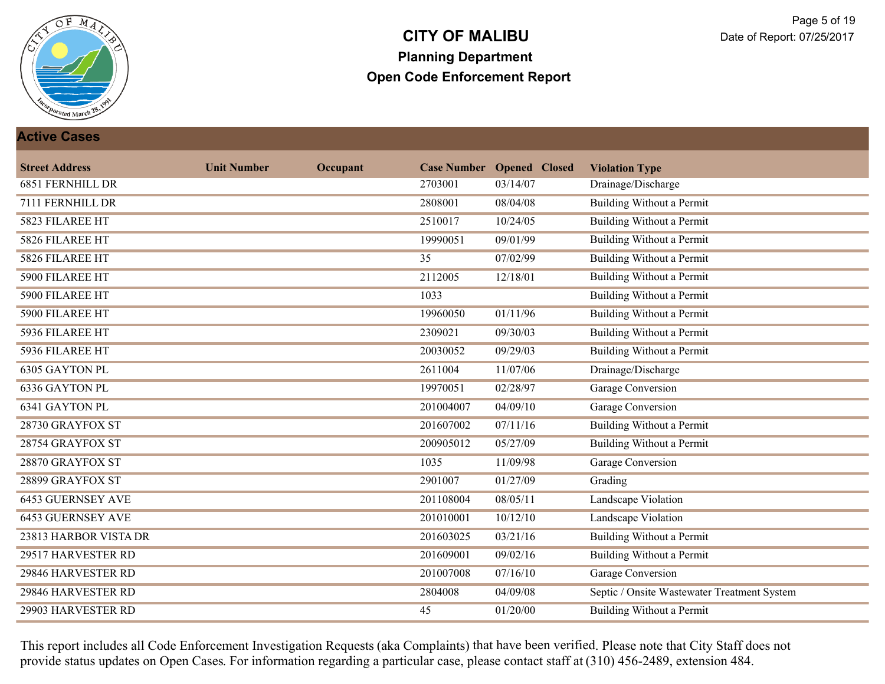

#### **Active Cases**

| <b>Street Address</b>    | <b>Unit Number</b> | Occupant |           | <b>Case Number Opened Closed</b> | <b>Violation Type</b>                       |
|--------------------------|--------------------|----------|-----------|----------------------------------|---------------------------------------------|
| <b>6851 FERNHILL DR</b>  |                    |          | 2703001   | 03/14/07                         | Drainage/Discharge                          |
| 7111 FERNHILL DR         |                    |          | 2808001   | 08/04/08                         | <b>Building Without a Permit</b>            |
| 5823 FILAREE HT          |                    |          | 2510017   | 10/24/05                         | <b>Building Without a Permit</b>            |
| 5826 FILAREE HT          |                    |          | 19990051  | 09/01/99                         | <b>Building Without a Permit</b>            |
| 5826 FILAREE HT          |                    |          | 35        | 07/02/99                         | <b>Building Without a Permit</b>            |
| 5900 FILAREE HT          |                    |          | 2112005   | 12/18/01                         | <b>Building Without a Permit</b>            |
| 5900 FILAREE HT          |                    |          | 1033      |                                  | <b>Building Without a Permit</b>            |
| 5900 FILAREE HT          |                    |          | 19960050  | 01/11/96                         | <b>Building Without a Permit</b>            |
| 5936 FILAREE HT          |                    |          | 2309021   | 09/30/03                         | <b>Building Without a Permit</b>            |
| 5936 FILAREE HT          |                    |          | 20030052  | 09/29/03                         | <b>Building Without a Permit</b>            |
| 6305 GAYTON PL           |                    |          | 2611004   | 11/07/06                         | Drainage/Discharge                          |
| 6336 GAYTON PL           |                    |          | 19970051  | 02/28/97                         | Garage Conversion                           |
| <b>6341 GAYTON PL</b>    |                    |          | 201004007 | 04/09/10                         | <b>Garage Conversion</b>                    |
| 28730 GRAYFOX ST         |                    |          | 201607002 | 07/11/16                         | <b>Building Without a Permit</b>            |
| 28754 GRAYFOX ST         |                    |          | 200905012 | 05/27/09                         | <b>Building Without a Permit</b>            |
| 28870 GRAYFOX ST         |                    |          | 1035      | 11/09/98                         | Garage Conversion                           |
| 28899 GRAYFOX ST         |                    |          | 2901007   | 01/27/09                         | Grading                                     |
| <b>6453 GUERNSEY AVE</b> |                    |          | 201108004 | 08/05/11                         | <b>Landscape Violation</b>                  |
| <b>6453 GUERNSEY AVE</b> |                    |          | 201010001 | 10/12/10                         | Landscape Violation                         |
| 23813 HARBOR VISTA DR    |                    |          | 201603025 | 03/21/16                         | <b>Building Without a Permit</b>            |
| 29517 HARVESTER RD       |                    |          | 201609001 | 09/02/16                         | <b>Building Without a Permit</b>            |
| 29846 HARVESTER RD       |                    |          | 201007008 | 07/16/10                         | Garage Conversion                           |
| 29846 HARVESTER RD       |                    |          | 2804008   | 04/09/08                         | Septic / Onsite Wastewater Treatment System |
| 29903 HARVESTER RD       |                    |          | 45        | 01/20/00                         | <b>Building Without a Permit</b>            |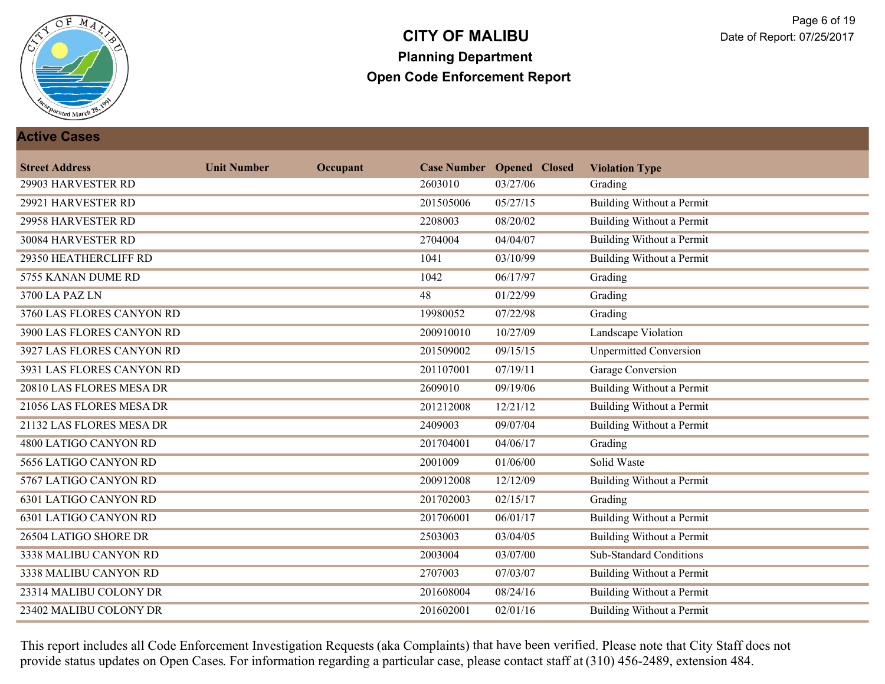

#### **Active Cases**

| <b>Street Address</b>        | <b>Unit Number</b> | Occupant |           | <b>Case Number Opened Closed</b> | <b>Violation Type</b>            |
|------------------------------|--------------------|----------|-----------|----------------------------------|----------------------------------|
| 29903 HARVESTER RD           |                    |          | 2603010   | 03/27/06                         | Grading                          |
| 29921 HARVESTER RD           |                    |          | 201505006 | 05/27/15                         | <b>Building Without a Permit</b> |
| 29958 HARVESTER RD           |                    |          | 2208003   | 08/20/02                         | Building Without a Permit        |
| 30084 HARVESTER RD           |                    |          | 2704004   | 04/04/07                         | Building Without a Permit        |
| 29350 HEATHERCLIFF RD        |                    |          | 1041      | 03/10/99                         | <b>Building Without a Permit</b> |
| 5755 KANAN DUME RD           |                    |          | 1042      | 06/17/97                         | Grading                          |
| 3700 LA PAZ LN               |                    |          | 48        | 01/22/99                         | Grading                          |
| 3760 LAS FLORES CANYON RD    |                    |          | 19980052  | 07/22/98                         | Grading                          |
| 3900 LAS FLORES CANYON RD    |                    |          | 200910010 | 10/27/09                         | <b>Landscape Violation</b>       |
| 3927 LAS FLORES CANYON RD    |                    |          | 201509002 | 09/15/15                         | <b>Unpermitted Conversion</b>    |
| 3931 LAS FLORES CANYON RD    |                    |          | 201107001 | 07/19/11                         | Garage Conversion                |
| 20810 LAS FLORES MESA DR     |                    |          | 2609010   | 09/19/06                         | <b>Building Without a Permit</b> |
| 21056 LAS FLORES MESA DR     |                    |          | 201212008 | 12/21/12                         | <b>Building Without a Permit</b> |
| 21132 LAS FLORES MESA DR     |                    |          | 2409003   | 09/07/04                         | <b>Building Without a Permit</b> |
| 4800 LATIGO CANYON RD        |                    |          | 201704001 | 04/06/17                         | Grading                          |
| 5656 LATIGO CANYON RD        |                    |          | 2001009   | 01/06/00                         | Solid Waste                      |
| 5767 LATIGO CANYON RD        |                    |          | 200912008 | 12/12/09                         | <b>Building Without a Permit</b> |
| <b>6301 LATIGO CANYON RD</b> |                    |          | 201702003 | 02/15/17                         | Grading                          |
| 6301 LATIGO CANYON RD        |                    |          | 201706001 | 06/01/17                         | <b>Building Without a Permit</b> |
| 26504 LATIGO SHORE DR        |                    |          | 2503003   | 03/04/05                         | <b>Building Without a Permit</b> |
| 3338 MALIBU CANYON RD        |                    |          | 2003004   | 03/07/00                         | <b>Sub-Standard Conditions</b>   |
| 3338 MALIBU CANYON RD        |                    |          | 2707003   | 07/03/07                         | <b>Building Without a Permit</b> |
| 23314 MALIBU COLONY DR       |                    |          | 201608004 | 08/24/16                         | Building Without a Permit        |
| 23402 MALIBU COLONY DR       |                    |          | 201602001 | 02/01/16                         | <b>Building Without a Permit</b> |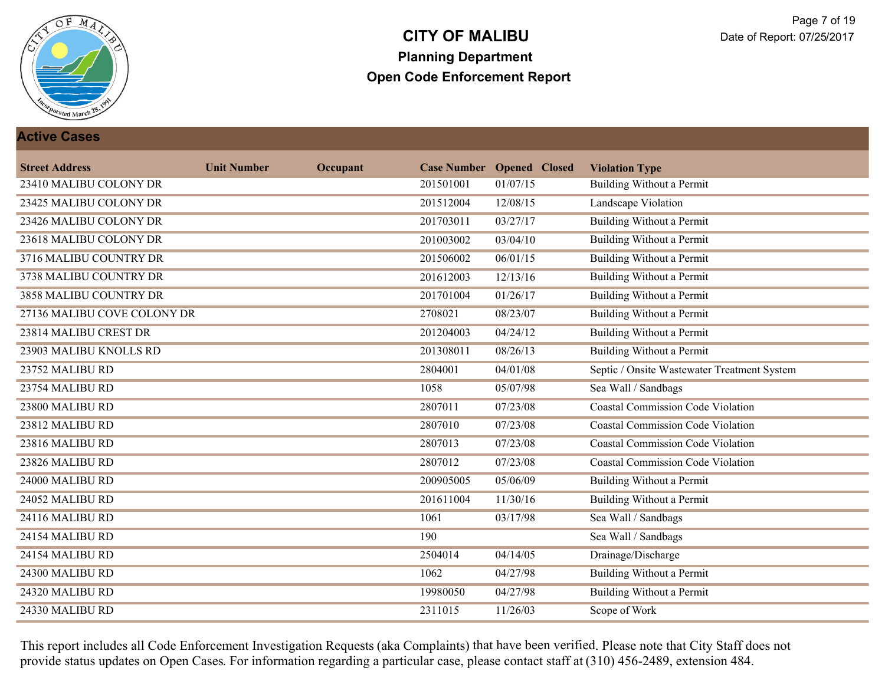

#### **Active Cases**

| <b>Street Address</b>       | <b>Unit Number</b> | Occupant |           | <b>Case Number Opened Closed</b> | <b>Violation Type</b>                       |
|-----------------------------|--------------------|----------|-----------|----------------------------------|---------------------------------------------|
| 23410 MALIBU COLONY DR      |                    |          | 201501001 | 01/07/15                         | Building Without a Permit                   |
| 23425 MALIBU COLONY DR      |                    |          | 201512004 | 12/08/15                         | Landscape Violation                         |
| 23426 MALIBU COLONY DR      |                    |          | 201703011 | 03/27/17                         | <b>Building Without a Permit</b>            |
| 23618 MALIBU COLONY DR      |                    |          | 201003002 | 03/04/10                         | <b>Building Without a Permit</b>            |
| 3716 MALIBU COUNTRY DR      |                    |          | 201506002 | 06/01/15                         | <b>Building Without a Permit</b>            |
| 3738 MALIBU COUNTRY DR      |                    |          | 201612003 | 12/13/16                         | <b>Building Without a Permit</b>            |
| 3858 MALIBU COUNTRY DR      |                    |          | 201701004 | 01/26/17                         | Building Without a Permit                   |
| 27136 MALIBU COVE COLONY DR |                    |          | 2708021   | 08/23/07                         | Building Without a Permit                   |
| 23814 MALIBU CREST DR       |                    |          | 201204003 | 04/24/12                         | <b>Building Without a Permit</b>            |
| 23903 MALIBU KNOLLS RD      |                    |          | 201308011 | 08/26/13                         | <b>Building Without a Permit</b>            |
| 23752 MALIBU RD             |                    |          | 2804001   | 04/01/08                         | Septic / Onsite Wastewater Treatment System |
| 23754 MALIBU RD             |                    |          | 1058      | 05/07/98                         | Sea Wall / Sandbags                         |
| 23800 MALIBU RD             |                    |          | 2807011   | 07/23/08                         | <b>Coastal Commission Code Violation</b>    |
| 23812 MALIBU RD             |                    |          | 2807010   | 07/23/08                         | <b>Coastal Commission Code Violation</b>    |
| 23816 MALIBU RD             |                    |          | 2807013   | 07/23/08                         | <b>Coastal Commission Code Violation</b>    |
| 23826 MALIBU RD             |                    |          | 2807012   | 07/23/08                         | <b>Coastal Commission Code Violation</b>    |
| 24000 MALIBU RD             |                    |          | 200905005 | 05/06/09                         | <b>Building Without a Permit</b>            |
| 24052 MALIBU RD             |                    |          | 201611004 | 11/30/16                         | <b>Building Without a Permit</b>            |
| 24116 MALIBU RD             |                    |          | 1061      | 03/17/98                         | Sea Wall / Sandbags                         |
| 24154 MALIBU RD             |                    |          | 190       |                                  | Sea Wall / Sandbags                         |
| 24154 MALIBU RD             |                    |          | 2504014   | 04/14/05                         | Drainage/Discharge                          |
| 24300 MALIBU RD             |                    |          | 1062      | 04/27/98                         | <b>Building Without a Permit</b>            |
| 24320 MALIBU RD             |                    |          | 19980050  | 04/27/98                         | <b>Building Without a Permit</b>            |
| 24330 MALIBU RD             |                    |          | 2311015   | 11/26/03                         | Scope of Work                               |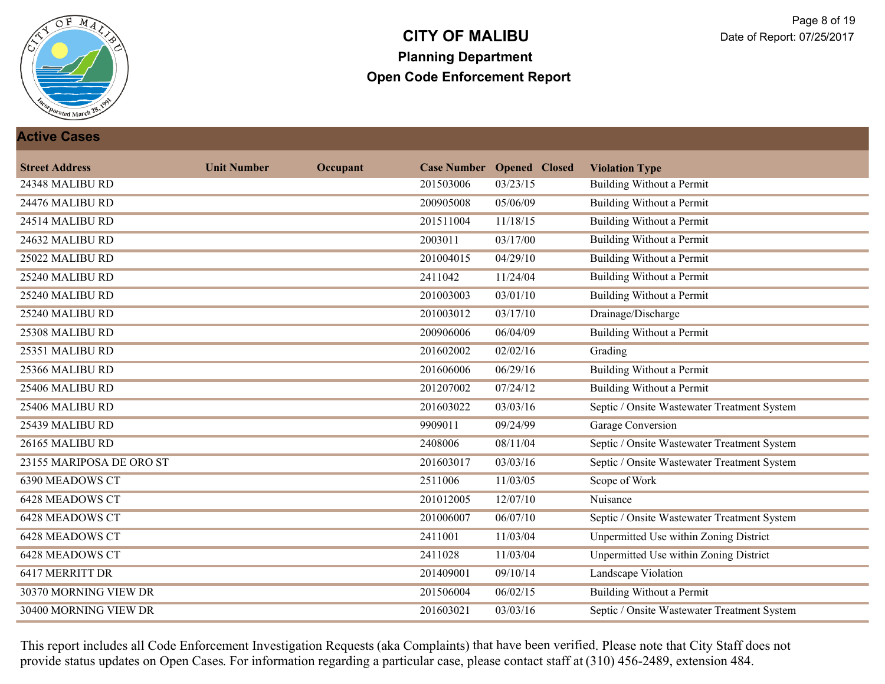

#### **Active Cases**

| <b>Street Address</b>    | <b>Unit Number</b> | Occupant |           | <b>Case Number Opened Closed</b> | <b>Violation Type</b>                         |
|--------------------------|--------------------|----------|-----------|----------------------------------|-----------------------------------------------|
| 24348 MALIBU RD          |                    |          | 201503006 | 03/23/15                         | Building Without a Permit                     |
| 24476 MALIBU RD          |                    |          | 200905008 | 05/06/09                         | <b>Building Without a Permit</b>              |
| 24514 MALIBU RD          |                    |          | 201511004 | 11/18/15                         | <b>Building Without a Permit</b>              |
| 24632 MALIBU RD          |                    |          | 2003011   | 03/17/00                         | <b>Building Without a Permit</b>              |
| 25022 MALIBU RD          |                    |          | 201004015 | 04/29/10                         | <b>Building Without a Permit</b>              |
| 25240 MALIBU RD          |                    |          | 2411042   | 11/24/04                         | <b>Building Without a Permit</b>              |
| 25240 MALIBU RD          |                    |          | 201003003 | 03/01/10                         | <b>Building Without a Permit</b>              |
| 25240 MALIBU RD          |                    |          | 201003012 | 03/17/10                         | Drainage/Discharge                            |
| 25308 MALIBU RD          |                    |          | 200906006 | 06/04/09                         | <b>Building Without a Permit</b>              |
| 25351 MALIBU RD          |                    |          | 201602002 | 02/02/16                         | Grading                                       |
| 25366 MALIBU RD          |                    |          | 201606006 | 06/29/16                         | <b>Building Without a Permit</b>              |
| 25406 MALIBU RD          |                    |          | 201207002 | 07/24/12                         | Building Without a Permit                     |
| 25406 MALIBU RD          |                    |          | 201603022 | 03/03/16                         | Septic / Onsite Wastewater Treatment System   |
| 25439 MALIBU RD          |                    |          | 9909011   | 09/24/99                         | Garage Conversion                             |
| 26165 MALIBU RD          |                    |          | 2408006   | 08/11/04                         | Septic / Onsite Wastewater Treatment System   |
| 23155 MARIPOSA DE ORO ST |                    |          | 201603017 | 03/03/16                         | Septic / Onsite Wastewater Treatment System   |
| <b>6390 MEADOWS CT</b>   |                    |          | 2511006   | 11/03/05                         | Scope of Work                                 |
| <b>6428 MEADOWS CT</b>   |                    |          | 201012005 | 12/07/10                         | Nuisance                                      |
| <b>6428 MEADOWS CT</b>   |                    |          | 201006007 | 06/07/10                         | Septic / Onsite Wastewater Treatment System   |
| <b>6428 MEADOWS CT</b>   |                    |          | 2411001   | 11/03/04                         | <b>Unpermitted Use within Zoning District</b> |
| <b>6428 MEADOWS CT</b>   |                    |          | 2411028   | 11/03/04                         | Unpermitted Use within Zoning District        |
| 6417 MERRITT DR          |                    |          | 201409001 | 09/10/14                         | <b>Landscape Violation</b>                    |
| 30370 MORNING VIEW DR    |                    |          | 201506004 | 06/02/15                         | Building Without a Permit                     |
| 30400 MORNING VIEW DR    |                    |          | 201603021 | 03/03/16                         | Septic / Onsite Wastewater Treatment System   |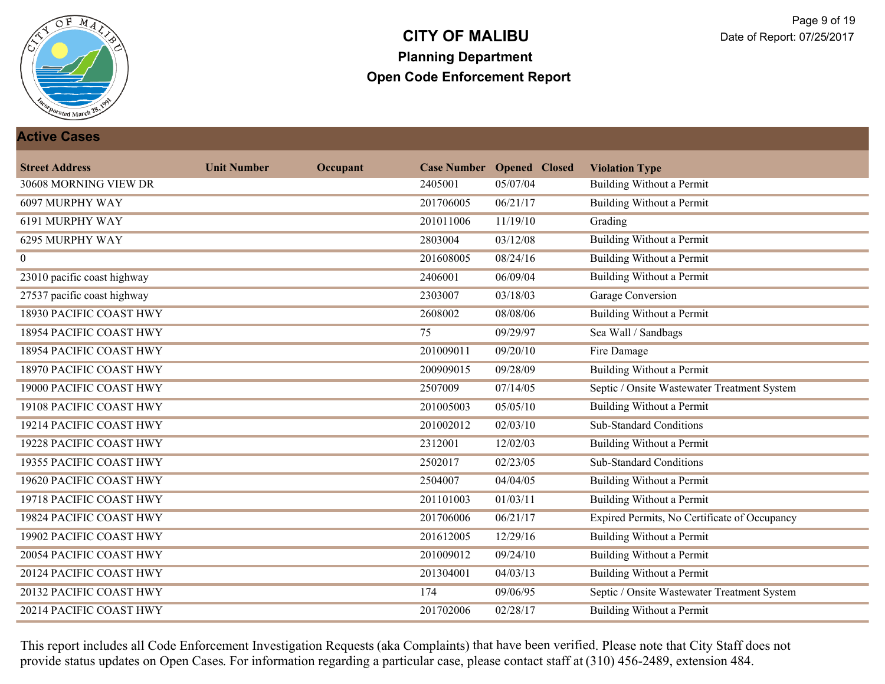

#### **Active Cases**

| <b>Street Address</b>       | <b>Unit Number</b> | Occupant |           | <b>Case Number Opened Closed</b> | <b>Violation Type</b>                        |
|-----------------------------|--------------------|----------|-----------|----------------------------------|----------------------------------------------|
| 30608 MORNING VIEW DR       |                    |          | 2405001   | 05/07/04                         | Building Without a Permit                    |
| 6097 MURPHY WAY             |                    |          | 201706005 | 06/21/17                         | <b>Building Without a Permit</b>             |
| 6191 MURPHY WAY             |                    |          | 201011006 | 11/19/10                         | Grading                                      |
| 6295 MURPHY WAY             |                    |          | 2803004   | 03/12/08                         | <b>Building Without a Permit</b>             |
| $\mathbf{0}$                |                    |          | 201608005 | 08/24/16                         | <b>Building Without a Permit</b>             |
| 23010 pacific coast highway |                    |          | 2406001   | 06/09/04                         | <b>Building Without a Permit</b>             |
| 27537 pacific coast highway |                    |          | 2303007   | 03/18/03                         | <b>Garage Conversion</b>                     |
| 18930 PACIFIC COAST HWY     |                    |          | 2608002   | 08/08/06                         | Building Without a Permit                    |
| 18954 PACIFIC COAST HWY     |                    |          | 75        | 09/29/97                         | Sea Wall / Sandbags                          |
| 18954 PACIFIC COAST HWY     |                    |          | 201009011 | 09/20/10                         | Fire Damage                                  |
| 18970 PACIFIC COAST HWY     |                    |          | 200909015 | 09/28/09                         | <b>Building Without a Permit</b>             |
| 19000 PACIFIC COAST HWY     |                    |          | 2507009   | 07/14/05                         | Septic / Onsite Wastewater Treatment System  |
| 19108 PACIFIC COAST HWY     |                    |          | 201005003 | 05/05/10                         | <b>Building Without a Permit</b>             |
| 19214 PACIFIC COAST HWY     |                    |          | 201002012 | 02/03/10                         | <b>Sub-Standard Conditions</b>               |
| 19228 PACIFIC COAST HWY     |                    |          | 2312001   | 12/02/03                         | Building Without a Permit                    |
| 19355 PACIFIC COAST HWY     |                    |          | 2502017   | 02/23/05                         | <b>Sub-Standard Conditions</b>               |
| 19620 PACIFIC COAST HWY     |                    |          | 2504007   | 04/04/05                         | <b>Building Without a Permit</b>             |
| 19718 PACIFIC COAST HWY     |                    |          | 201101003 | 01/03/11                         | <b>Building Without a Permit</b>             |
| 19824 PACIFIC COAST HWY     |                    |          | 201706006 | 06/21/17                         | Expired Permits, No Certificate of Occupancy |
| 19902 PACIFIC COAST HWY     |                    |          | 201612005 | 12/29/16                         | <b>Building Without a Permit</b>             |
| 20054 PACIFIC COAST HWY     |                    |          | 201009012 | 09/24/10                         | <b>Building Without a Permit</b>             |
| 20124 PACIFIC COAST HWY     |                    |          | 201304001 | 04/03/13                         | <b>Building Without a Permit</b>             |
| 20132 PACIFIC COAST HWY     |                    |          | 174       | 09/06/95                         | Septic / Onsite Wastewater Treatment System  |
| 20214 PACIFIC COAST HWY     |                    |          | 201702006 | 02/28/17                         | <b>Building Without a Permit</b>             |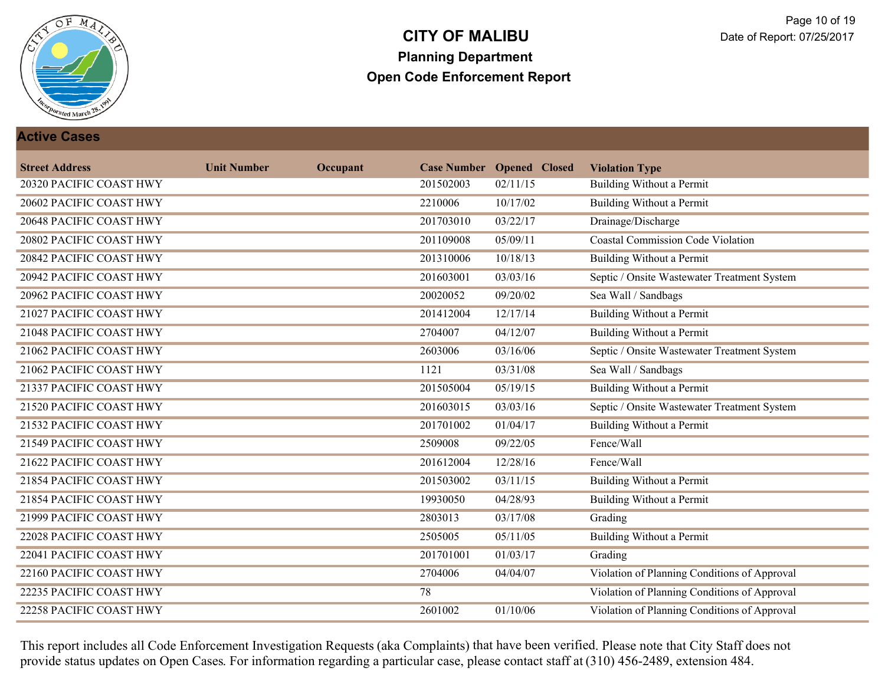

#### **Active Cases**

| <b>Street Address</b>   | <b>Unit Number</b> | Occupant |           | <b>Case Number Opened Closed</b> | <b>Violation Type</b>                        |
|-------------------------|--------------------|----------|-----------|----------------------------------|----------------------------------------------|
| 20320 PACIFIC COAST HWY |                    |          | 201502003 | 02/11/15                         | Building Without a Permit                    |
| 20602 PACIFIC COAST HWY |                    |          | 2210006   | 10/17/02                         | <b>Building Without a Permit</b>             |
| 20648 PACIFIC COAST HWY |                    |          | 201703010 | 03/22/17                         | Drainage/Discharge                           |
| 20802 PACIFIC COAST HWY |                    |          | 201109008 | 05/09/11                         | <b>Coastal Commission Code Violation</b>     |
| 20842 PACIFIC COAST HWY |                    |          | 201310006 | 10/18/13                         | <b>Building Without a Permit</b>             |
| 20942 PACIFIC COAST HWY |                    |          | 201603001 | 03/03/16                         | Septic / Onsite Wastewater Treatment System  |
| 20962 PACIFIC COAST HWY |                    |          | 20020052  | 09/20/02                         | Sea Wall / Sandbags                          |
| 21027 PACIFIC COAST HWY |                    |          | 201412004 | 12/17/14                         | Building Without a Permit                    |
| 21048 PACIFIC COAST HWY |                    |          | 2704007   | 04/12/07                         | <b>Building Without a Permit</b>             |
| 21062 PACIFIC COAST HWY |                    |          | 2603006   | 03/16/06                         | Septic / Onsite Wastewater Treatment System  |
| 21062 PACIFIC COAST HWY |                    |          | 1121      | 03/31/08                         | Sea Wall / Sandbags                          |
| 21337 PACIFIC COAST HWY |                    |          | 201505004 | 05/19/15                         | Building Without a Permit                    |
| 21520 PACIFIC COAST HWY |                    |          | 201603015 | 03/03/16                         | Septic / Onsite Wastewater Treatment System  |
| 21532 PACIFIC COAST HWY |                    |          | 201701002 | 01/04/17                         | <b>Building Without a Permit</b>             |
| 21549 PACIFIC COAST HWY |                    |          | 2509008   | 09/22/05                         | Fence/Wall                                   |
| 21622 PACIFIC COAST HWY |                    |          | 201612004 | 12/28/16                         | Fence/Wall                                   |
| 21854 PACIFIC COAST HWY |                    |          | 201503002 | 03/11/15                         | <b>Building Without a Permit</b>             |
| 21854 PACIFIC COAST HWY |                    |          | 19930050  | 04/28/93                         | <b>Building Without a Permit</b>             |
| 21999 PACIFIC COAST HWY |                    |          | 2803013   | 03/17/08                         | Grading                                      |
| 22028 PACIFIC COAST HWY |                    |          | 2505005   | 05/11/05                         | <b>Building Without a Permit</b>             |
| 22041 PACIFIC COAST HWY |                    |          | 201701001 | 01/03/17                         | Grading                                      |
| 22160 PACIFIC COAST HWY |                    |          | 2704006   | 04/04/07                         | Violation of Planning Conditions of Approval |
| 22235 PACIFIC COAST HWY |                    |          | 78        |                                  | Violation of Planning Conditions of Approval |
| 22258 PACIFIC COAST HWY |                    |          | 2601002   | 01/10/06                         | Violation of Planning Conditions of Approval |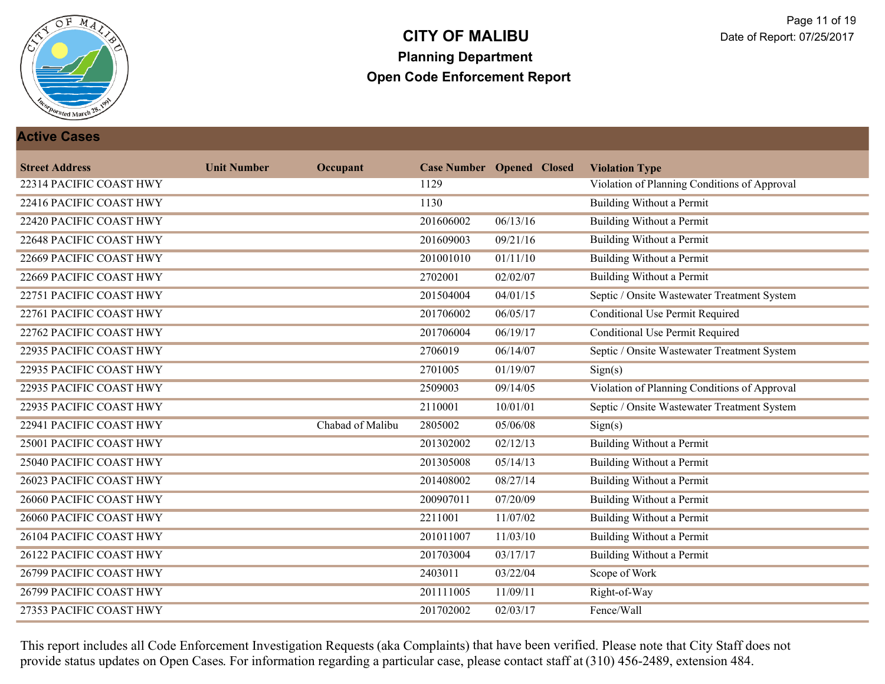

#### **Active Cases**

| <b>Street Address</b>   | <b>Unit Number</b> | Occupant         |           | <b>Case Number Opened Closed</b> | <b>Violation Type</b>                        |
|-------------------------|--------------------|------------------|-----------|----------------------------------|----------------------------------------------|
| 22314 PACIFIC COAST HWY |                    |                  | 1129      |                                  | Violation of Planning Conditions of Approval |
| 22416 PACIFIC COAST HWY |                    |                  | 1130      |                                  | <b>Building Without a Permit</b>             |
| 22420 PACIFIC COAST HWY |                    |                  | 201606002 | 06/13/16                         | <b>Building Without a Permit</b>             |
| 22648 PACIFIC COAST HWY |                    |                  | 201609003 | 09/21/16                         | Building Without a Permit                    |
| 22669 PACIFIC COAST HWY |                    |                  | 201001010 | 01/11/10                         | <b>Building Without a Permit</b>             |
| 22669 PACIFIC COAST HWY |                    |                  | 2702001   | 02/02/07                         | <b>Building Without a Permit</b>             |
| 22751 PACIFIC COAST HWY |                    |                  | 201504004 | 04/01/15                         | Septic / Onsite Wastewater Treatment System  |
| 22761 PACIFIC COAST HWY |                    |                  | 201706002 | 06/05/17                         | Conditional Use Permit Required              |
| 22762 PACIFIC COAST HWY |                    |                  | 201706004 | 06/19/17                         | <b>Conditional Use Permit Required</b>       |
| 22935 PACIFIC COAST HWY |                    |                  | 2706019   | 06/14/07                         | Septic / Onsite Wastewater Treatment System  |
| 22935 PACIFIC COAST HWY |                    |                  | 2701005   | 01/19/07                         | Sign(s)                                      |
| 22935 PACIFIC COAST HWY |                    |                  | 2509003   | 09/14/05                         | Violation of Planning Conditions of Approval |
| 22935 PACIFIC COAST HWY |                    |                  | 2110001   | 10/01/01                         | Septic / Onsite Wastewater Treatment System  |
| 22941 PACIFIC COAST HWY |                    | Chabad of Malibu | 2805002   | 05/06/08                         | Sign(s)                                      |
| 25001 PACIFIC COAST HWY |                    |                  | 201302002 | 02/12/13                         | <b>Building Without a Permit</b>             |
| 25040 PACIFIC COAST HWY |                    |                  | 201305008 | 05/14/13                         | <b>Building Without a Permit</b>             |
| 26023 PACIFIC COAST HWY |                    |                  | 201408002 | 08/27/14                         | <b>Building Without a Permit</b>             |
| 26060 PACIFIC COAST HWY |                    |                  | 200907011 | 07/20/09                         | <b>Building Without a Permit</b>             |
| 26060 PACIFIC COAST HWY |                    |                  | 2211001   | 11/07/02                         | <b>Building Without a Permit</b>             |
| 26104 PACIFIC COAST HWY |                    |                  | 201011007 | 11/03/10                         | <b>Building Without a Permit</b>             |
| 26122 PACIFIC COAST HWY |                    |                  | 201703004 | 03/17/17                         | <b>Building Without a Permit</b>             |
| 26799 PACIFIC COAST HWY |                    |                  | 2403011   | 03/22/04                         | Scope of Work                                |
| 26799 PACIFIC COAST HWY |                    |                  | 201111005 | 11/09/11                         | Right-of-Way                                 |
| 27353 PACIFIC COAST HWY |                    |                  | 201702002 | 02/03/17                         | Fence/Wall                                   |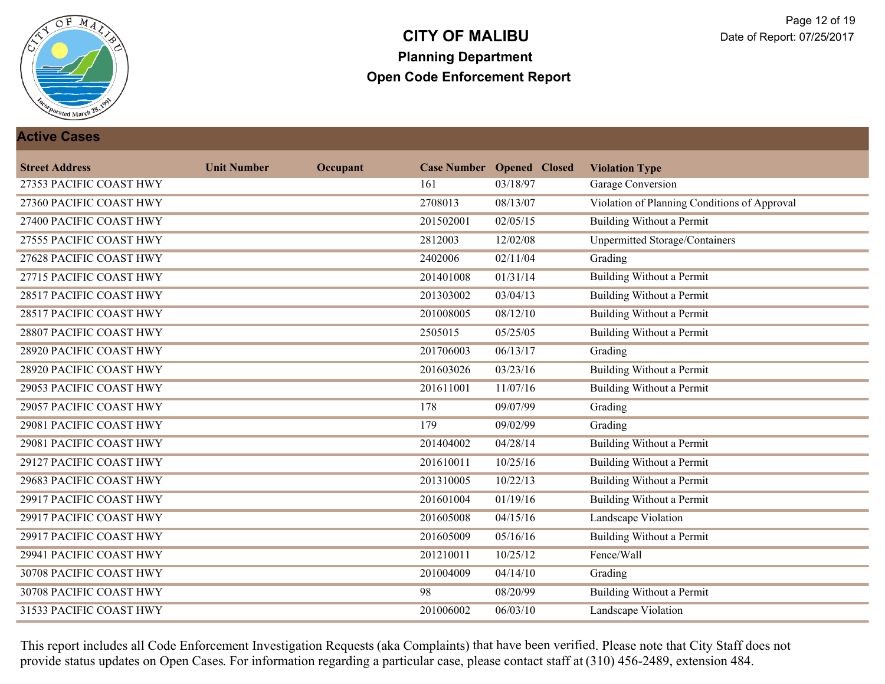

#### **Active Cases**

| <b>Street Address</b>   | <b>Unit Number</b> | Occupant |           | <b>Case Number Opened Closed</b> | <b>Violation Type</b>                        |
|-------------------------|--------------------|----------|-----------|----------------------------------|----------------------------------------------|
| 27353 PACIFIC COAST HWY |                    |          | 161       | 03/18/97                         | Garage Conversion                            |
| 27360 PACIFIC COAST HWY |                    |          | 2708013   | 08/13/07                         | Violation of Planning Conditions of Approval |
| 27400 PACIFIC COAST HWY |                    |          | 201502001 | 02/05/15                         | <b>Building Without a Permit</b>             |
| 27555 PACIFIC COAST HWY |                    |          | 2812003   | 12/02/08                         | Unpermitted Storage/Containers               |
| 27628 PACIFIC COAST HWY |                    |          | 2402006   | 02/11/04                         | Grading                                      |
| 27715 PACIFIC COAST HWY |                    |          | 201401008 | 01/31/14                         | <b>Building Without a Permit</b>             |
| 28517 PACIFIC COAST HWY |                    |          | 201303002 | 03/04/13                         | <b>Building Without a Permit</b>             |
| 28517 PACIFIC COAST HWY |                    |          | 201008005 | 08/12/10                         | Building Without a Permit                    |
| 28807 PACIFIC COAST HWY |                    |          | 2505015   | 05/25/05                         | <b>Building Without a Permit</b>             |
| 28920 PACIFIC COAST HWY |                    |          | 201706003 | 06/13/17                         | Grading                                      |
| 28920 PACIFIC COAST HWY |                    |          | 201603026 | 03/23/16                         | <b>Building Without a Permit</b>             |
| 29053 PACIFIC COAST HWY |                    |          | 201611001 | 11/07/16                         | Building Without a Permit                    |
| 29057 PACIFIC COAST HWY |                    |          | 178       | 09/07/99                         | Grading                                      |
| 29081 PACIFIC COAST HWY |                    |          | 179       | 09/02/99                         | Grading                                      |
| 29081 PACIFIC COAST HWY |                    |          | 201404002 | 04/28/14                         | <b>Building Without a Permit</b>             |
| 29127 PACIFIC COAST HWY |                    |          | 201610011 | 10/25/16                         | <b>Building Without a Permit</b>             |
| 29683 PACIFIC COAST HWY |                    |          | 201310005 | 10/22/13                         | <b>Building Without a Permit</b>             |
| 29917 PACIFIC COAST HWY |                    |          | 201601004 | 01/19/16                         | <b>Building Without a Permit</b>             |
| 29917 PACIFIC COAST HWY |                    |          | 201605008 | 04/15/16                         | Landscape Violation                          |
| 29917 PACIFIC COAST HWY |                    |          | 201605009 | 05/16/16                         | <b>Building Without a Permit</b>             |
| 29941 PACIFIC COAST HWY |                    |          | 201210011 | 10/25/12                         | Fence/Wall                                   |
| 30708 PACIFIC COAST HWY |                    |          | 201004009 | 04/14/10                         | Grading                                      |
| 30708 PACIFIC COAST HWY |                    |          | 98        | 08/20/99                         | Building Without a Permit                    |
| 31533 PACIFIC COAST HWY |                    |          | 201006002 | 06/03/10                         | <b>Landscape Violation</b>                   |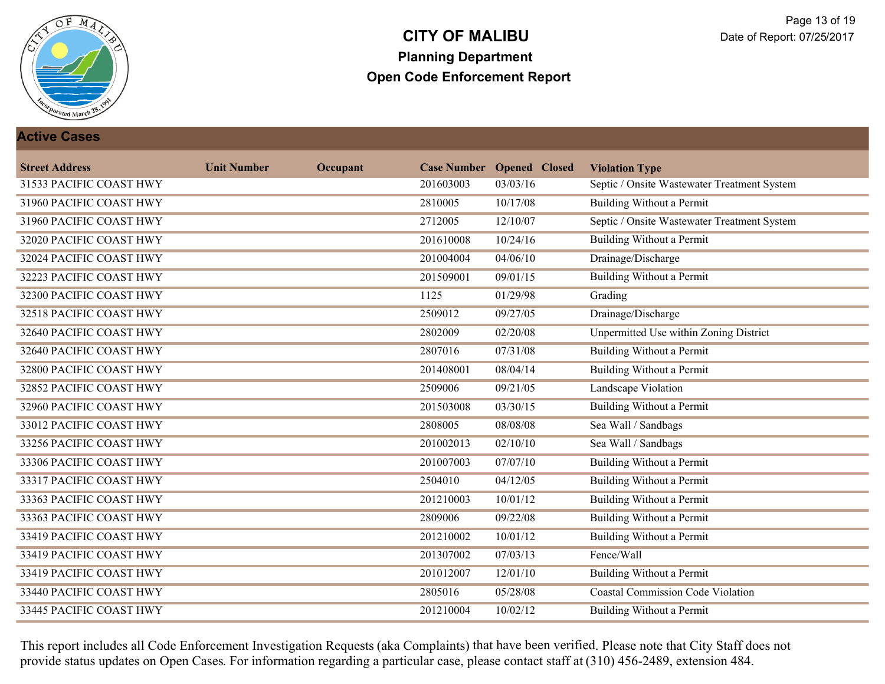

#### **Active Cases**

| <b>Street Address</b>   | <b>Unit Number</b> | Occupant |           | <b>Case Number Opened Closed</b> | <b>Violation Type</b>                       |
|-------------------------|--------------------|----------|-----------|----------------------------------|---------------------------------------------|
| 31533 PACIFIC COAST HWY |                    |          | 201603003 | 03/03/16                         | Septic / Onsite Wastewater Treatment System |
| 31960 PACIFIC COAST HWY |                    |          | 2810005   | 10/17/08                         | <b>Building Without a Permit</b>            |
| 31960 PACIFIC COAST HWY |                    |          | 2712005   | 12/10/07                         | Septic / Onsite Wastewater Treatment System |
| 32020 PACIFIC COAST HWY |                    |          | 201610008 | 10/24/16                         | <b>Building Without a Permit</b>            |
| 32024 PACIFIC COAST HWY |                    |          | 201004004 | 04/06/10                         | Drainage/Discharge                          |
| 32223 PACIFIC COAST HWY |                    |          | 201509001 | 09/01/15                         | <b>Building Without a Permit</b>            |
| 32300 PACIFIC COAST HWY |                    |          | 1125      | 01/29/98                         | Grading                                     |
| 32518 PACIFIC COAST HWY |                    |          | 2509012   | 09/27/05                         | Drainage/Discharge                          |
| 32640 PACIFIC COAST HWY |                    |          | 2802009   | 02/20/08                         | Unpermitted Use within Zoning District      |
| 32640 PACIFIC COAST HWY |                    |          | 2807016   | 07/31/08                         | <b>Building Without a Permit</b>            |
| 32800 PACIFIC COAST HWY |                    |          | 201408001 | 08/04/14                         | <b>Building Without a Permit</b>            |
| 32852 PACIFIC COAST HWY |                    |          | 2509006   | 09/21/05                         | Landscape Violation                         |
| 32960 PACIFIC COAST HWY |                    |          | 201503008 | 03/30/15                         | <b>Building Without a Permit</b>            |
| 33012 PACIFIC COAST HWY |                    |          | 2808005   | 08/08/08                         | Sea Wall / Sandbags                         |
| 33256 PACIFIC COAST HWY |                    |          | 201002013 | 02/10/10                         | Sea Wall / Sandbags                         |
| 33306 PACIFIC COAST HWY |                    |          | 201007003 | 07/07/10                         | Building Without a Permit                   |
| 33317 PACIFIC COAST HWY |                    |          | 2504010   | 04/12/05                         | <b>Building Without a Permit</b>            |
| 33363 PACIFIC COAST HWY |                    |          | 201210003 | 10/01/12                         | <b>Building Without a Permit</b>            |
| 33363 PACIFIC COAST HWY |                    |          | 2809006   | 09/22/08                         | <b>Building Without a Permit</b>            |
| 33419 PACIFIC COAST HWY |                    |          | 201210002 | 10/01/12                         | <b>Building Without a Permit</b>            |
| 33419 PACIFIC COAST HWY |                    |          | 201307002 | 07/03/13                         | Fence/Wall                                  |
| 33419 PACIFIC COAST HWY |                    |          | 201012007 | 12/01/10                         | <b>Building Without a Permit</b>            |
| 33440 PACIFIC COAST HWY |                    |          | 2805016   | 05/28/08                         | <b>Coastal Commission Code Violation</b>    |
| 33445 PACIFIC COAST HWY |                    |          | 201210004 | 10/02/12                         | <b>Building Without a Permit</b>            |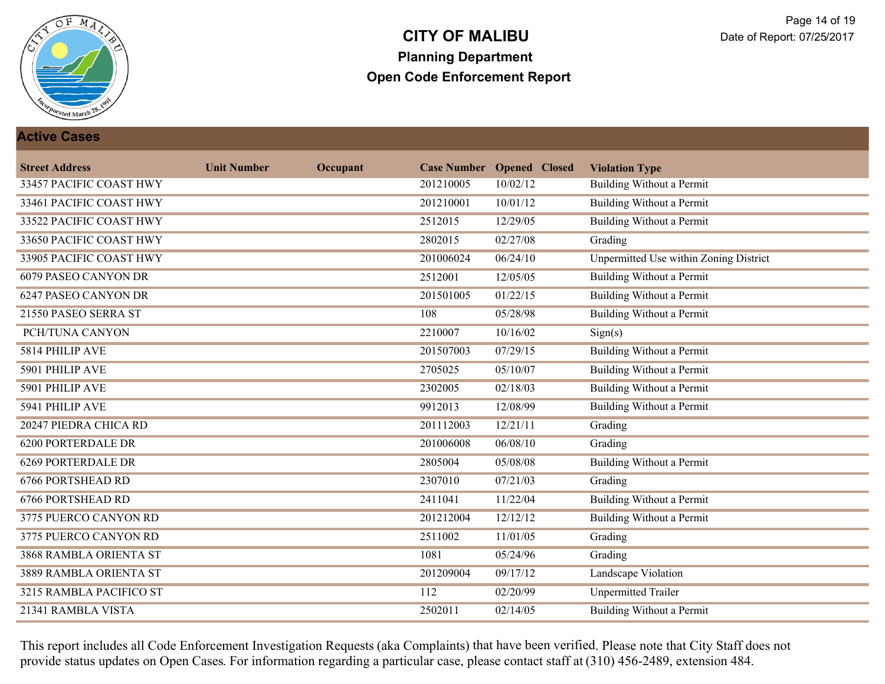

#### **Active Cases**

| <b>Street Address</b>     | <b>Unit Number</b> | Occupant |           | <b>Case Number Opened Closed</b> | <b>Violation Type</b>                         |
|---------------------------|--------------------|----------|-----------|----------------------------------|-----------------------------------------------|
| 33457 PACIFIC COAST HWY   |                    |          | 201210005 | 10/02/12                         | Building Without a Permit                     |
| 33461 PACIFIC COAST HWY   |                    |          | 201210001 | 10/01/12                         | <b>Building Without a Permit</b>              |
| 33522 PACIFIC COAST HWY   |                    |          | 2512015   | 12/29/05                         | Building Without a Permit                     |
| 33650 PACIFIC COAST HWY   |                    |          | 2802015   | 02/27/08                         | Grading                                       |
| 33905 PACIFIC COAST HWY   |                    |          | 201006024 | 06/24/10                         | <b>Unpermitted Use within Zoning District</b> |
| 6079 PASEO CANYON DR      |                    |          | 2512001   | 12/05/05                         | <b>Building Without a Permit</b>              |
| 6247 PASEO CANYON DR      |                    |          | 201501005 | 01/22/15                         | <b>Building Without a Permit</b>              |
| 21550 PASEO SERRA ST      |                    |          | 108       | 05/28/98                         | Building Without a Permit                     |
| PCH/TUNA CANYON           |                    |          | 2210007   | 10/16/02                         | Sign(s)                                       |
| 5814 PHILIP AVE           |                    |          | 201507003 | 07/29/15                         | <b>Building Without a Permit</b>              |
| 5901 PHILIP AVE           |                    |          | 2705025   | 05/10/07                         | Building Without a Permit                     |
| 5901 PHILIP AVE           |                    |          | 2302005   | 02/18/03                         | <b>Building Without a Permit</b>              |
| 5941 PHILIP AVE           |                    |          | 9912013   | 12/08/99                         | <b>Building Without a Permit</b>              |
| 20247 PIEDRA CHICA RD     |                    |          | 201112003 | 12/21/11                         | Grading                                       |
| <b>6200 PORTERDALE DR</b> |                    |          | 201006008 | 06/08/10                         | Grading                                       |
| <b>6269 PORTERDALE DR</b> |                    |          | 2805004   | 05/08/08                         | <b>Building Without a Permit</b>              |
| <b>6766 PORTSHEAD RD</b>  |                    |          | 2307010   | 07/21/03                         | Grading                                       |
| <b>6766 PORTSHEAD RD</b>  |                    |          | 2411041   | 11/22/04                         | <b>Building Without a Permit</b>              |
| 3775 PUERCO CANYON RD     |                    |          | 201212004 | 12/12/12                         | Building Without a Permit                     |
| 3775 PUERCO CANYON RD     |                    |          | 2511002   | 11/01/05                         | Grading                                       |
| 3868 RAMBLA ORIENTA ST    |                    |          | 1081      | 05/24/96                         | Grading                                       |
| 3889 RAMBLA ORIENTA ST    |                    |          | 201209004 | 09/17/12                         | <b>Landscape Violation</b>                    |
| 3215 RAMBLA PACIFICO ST   |                    |          | 112       | 02/20/99                         | <b>Unpermitted Trailer</b>                    |
| 21341 RAMBLA VISTA        |                    |          | 2502011   | 02/14/05                         | <b>Building Without a Permit</b>              |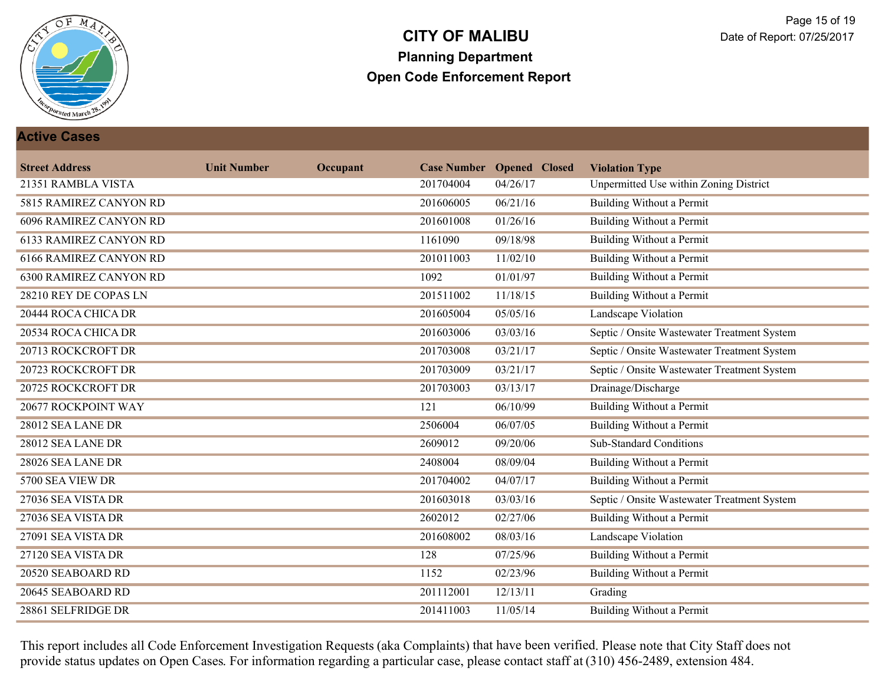

#### **Active Cases**

| <b>Street Address</b>         | <b>Unit Number</b> | Occupant |           | <b>Case Number Opened Closed</b> | <b>Violation Type</b>                       |
|-------------------------------|--------------------|----------|-----------|----------------------------------|---------------------------------------------|
| 21351 RAMBLA VISTA            |                    |          | 201704004 | 04/26/17                         | Unpermitted Use within Zoning District      |
| 5815 RAMIREZ CANYON RD        |                    |          | 201606005 | 06/21/16                         | <b>Building Without a Permit</b>            |
| <b>6096 RAMIREZ CANYON RD</b> |                    |          | 201601008 | 01/26/16                         | <b>Building Without a Permit</b>            |
| <b>6133 RAMIREZ CANYON RD</b> |                    |          | 1161090   | 09/18/98                         | <b>Building Without a Permit</b>            |
| <b>6166 RAMIREZ CANYON RD</b> |                    |          | 201011003 | 11/02/10                         | <b>Building Without a Permit</b>            |
| <b>6300 RAMIREZ CANYON RD</b> |                    |          | 1092      | 01/01/97                         | <b>Building Without a Permit</b>            |
| 28210 REY DE COPAS LN         |                    |          | 201511002 | 11/18/15                         | <b>Building Without a Permit</b>            |
| 20444 ROCA CHICA DR           |                    |          | 201605004 | 05/05/16                         | Landscape Violation                         |
| 20534 ROCA CHICA DR           |                    |          | 201603006 | 03/03/16                         | Septic / Onsite Wastewater Treatment System |
| 20713 ROCKCROFT DR            |                    |          | 201703008 | 03/21/17                         | Septic / Onsite Wastewater Treatment System |
| 20723 ROCKCROFT DR            |                    |          | 201703009 | 03/21/17                         | Septic / Onsite Wastewater Treatment System |
| 20725 ROCKCROFT DR            |                    |          | 201703003 | 03/13/17                         | Drainage/Discharge                          |
| 20677 ROCKPOINT WAY           |                    |          | 121       | 06/10/99                         | <b>Building Without a Permit</b>            |
| 28012 SEA LANE DR             |                    |          | 2506004   | 06/07/05                         | <b>Building Without a Permit</b>            |
| 28012 SEA LANE DR             |                    |          | 2609012   | 09/20/06                         | <b>Sub-Standard Conditions</b>              |
| 28026 SEA LANE DR             |                    |          | 2408004   | 08/09/04                         | Building Without a Permit                   |
| 5700 SEA VIEW DR              |                    |          | 201704002 | 04/07/17                         | Building Without a Permit                   |
| 27036 SEA VISTA DR            |                    |          | 201603018 | 03/03/16                         | Septic / Onsite Wastewater Treatment System |
| 27036 SEA VISTA DR            |                    |          | 2602012   | 02/27/06                         | <b>Building Without a Permit</b>            |
| 27091 SEA VISTA DR            |                    |          | 201608002 | 08/03/16                         | <b>Landscape Violation</b>                  |
| 27120 SEA VISTA DR            |                    |          | 128       | 07/25/96                         | <b>Building Without a Permit</b>            |
| 20520 SEABOARD RD             |                    |          | 1152      | 02/23/96                         | <b>Building Without a Permit</b>            |
| 20645 SEABOARD RD             |                    |          | 201112001 | 12/13/11                         | Grading                                     |
| 28861 SELFRIDGE DR            |                    |          | 201411003 | 11/05/14                         | <b>Building Without a Permit</b>            |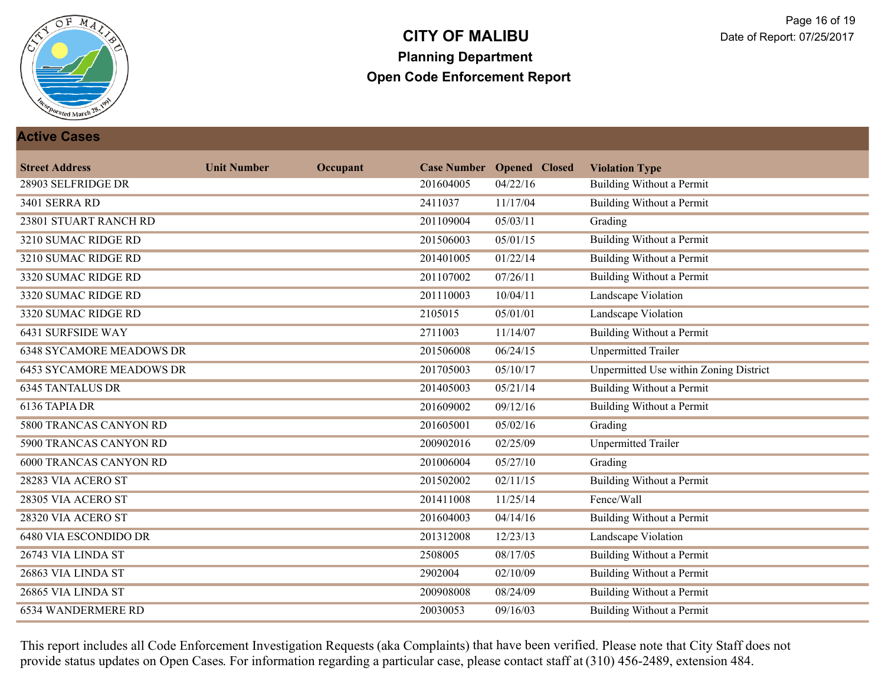

#### **Active Cases**

| <b>Street Address</b>           | <b>Unit Number</b> | Occupant |           | <b>Case Number Opened Closed</b> | <b>Violation Type</b>                         |
|---------------------------------|--------------------|----------|-----------|----------------------------------|-----------------------------------------------|
| 28903 SELFRIDGE DR              |                    |          | 201604005 | 04/22/16                         | Building Without a Permit                     |
| 3401 SERRA RD                   |                    |          | 2411037   | 11/17/04                         | <b>Building Without a Permit</b>              |
| 23801 STUART RANCH RD           |                    |          | 201109004 | 05/03/11                         | Grading                                       |
| 3210 SUMAC RIDGE RD             |                    |          | 201506003 | 05/01/15                         | <b>Building Without a Permit</b>              |
| 3210 SUMAC RIDGE RD             |                    |          | 201401005 | 01/22/14                         | <b>Building Without a Permit</b>              |
| 3320 SUMAC RIDGE RD             |                    |          | 201107002 | 07/26/11                         | <b>Building Without a Permit</b>              |
| 3320 SUMAC RIDGE RD             |                    |          | 201110003 | 10/04/11                         | <b>Landscape Violation</b>                    |
| 3320 SUMAC RIDGE RD             |                    |          | 2105015   | 05/01/01                         | Landscape Violation                           |
| <b>6431 SURFSIDE WAY</b>        |                    |          | 2711003   | 11/14/07                         | Building Without a Permit                     |
| <b>6348 SYCAMORE MEADOWS DR</b> |                    |          | 201506008 | 06/24/15                         | <b>Unpermitted Trailer</b>                    |
| <b>6453 SYCAMORE MEADOWS DR</b> |                    |          | 201705003 | 05/10/17                         | <b>Unpermitted Use within Zoning District</b> |
| <b>6345 TANTALUS DR</b>         |                    |          | 201405003 | 05/21/14                         | Building Without a Permit                     |
| 6136 TAPIA DR                   |                    |          | 201609002 | 09/12/16                         | Building Without a Permit                     |
| 5800 TRANCAS CANYON RD          |                    |          | 201605001 | 05/02/16                         | Grading                                       |
| 5900 TRANCAS CANYON RD          |                    |          | 200902016 | 02/25/09                         | <b>Unpermitted Trailer</b>                    |
| <b>6000 TRANCAS CANYON RD</b>   |                    |          | 201006004 | 05/27/10                         | Grading                                       |
| 28283 VIA ACERO ST              |                    |          | 201502002 | 02/11/15                         | <b>Building Without a Permit</b>              |
| 28305 VIA ACERO ST              |                    |          | 201411008 | 11/25/14                         | Fence/Wall                                    |
| 28320 VIA ACERO ST              |                    |          | 201604003 | 04/14/16                         | <b>Building Without a Permit</b>              |
| <b>6480 VIA ESCONDIDO DR</b>    |                    |          | 201312008 | 12/23/13                         | <b>Landscape Violation</b>                    |
| 26743 VIA LINDA ST              |                    |          | 2508005   | 08/17/05                         | <b>Building Without a Permit</b>              |
| 26863 VIA LINDA ST              |                    |          | 2902004   | 02/10/09                         | <b>Building Without a Permit</b>              |
| 26865 VIA LINDA ST              |                    |          | 200908008 | 08/24/09                         | Building Without a Permit                     |
| 6534 WANDERMERE RD              |                    |          | 20030053  | 09/16/03                         | <b>Building Without a Permit</b>              |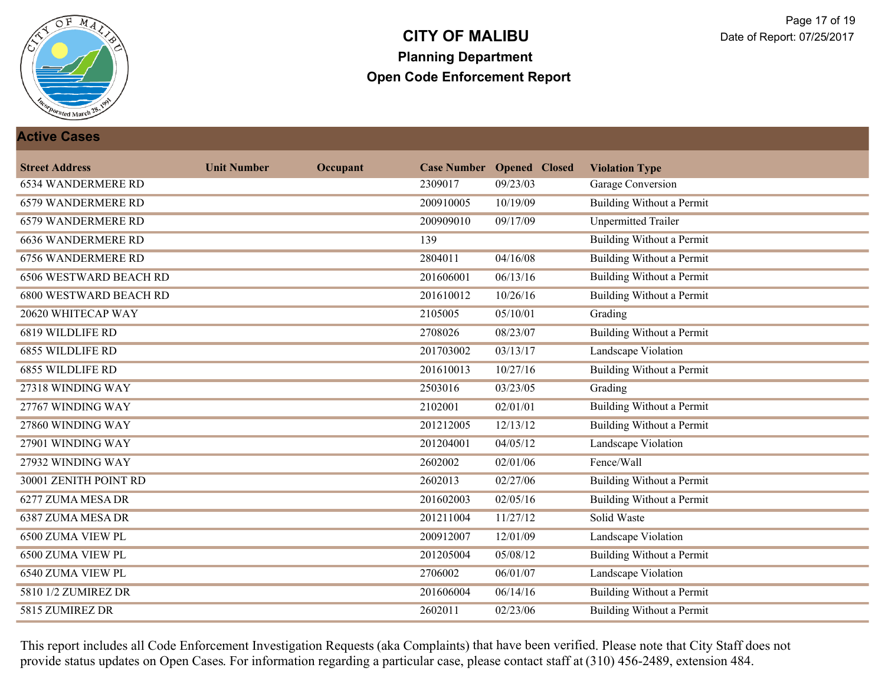

#### **Active Cases**

| <b>Street Address</b>         | <b>Unit Number</b> | Occupant |           | <b>Case Number Opened Closed</b> | <b>Violation Type</b>            |
|-------------------------------|--------------------|----------|-----------|----------------------------------|----------------------------------|
| <b>6534 WANDERMERE RD</b>     |                    |          | 2309017   | 09/23/03                         | Garage Conversion                |
| 6579 WANDERMERE RD            |                    |          | 200910005 | 10/19/09                         | <b>Building Without a Permit</b> |
| <b>6579 WANDERMERE RD</b>     |                    |          | 200909010 | 09/17/09                         | <b>Unpermitted Trailer</b>       |
| <b>6636 WANDERMERE RD</b>     |                    |          | 139       |                                  | <b>Building Without a Permit</b> |
| <b>6756 WANDERMERE RD</b>     |                    |          | 2804011   | 04/16/08                         | <b>Building Without a Permit</b> |
| <b>6506 WESTWARD BEACH RD</b> |                    |          | 201606001 | 06/13/16                         | <b>Building Without a Permit</b> |
| <b>6800 WESTWARD BEACH RD</b> |                    |          | 201610012 | 10/26/16                         | <b>Building Without a Permit</b> |
| 20620 WHITECAP WAY            |                    |          | 2105005   | 05/10/01                         | Grading                          |
| 6819 WILDLIFE RD              |                    |          | 2708026   | 08/23/07                         | <b>Building Without a Permit</b> |
| <b>6855 WILDLIFE RD</b>       |                    |          | 201703002 | 03/13/17                         | Landscape Violation              |
| <b>6855 WILDLIFE RD</b>       |                    |          | 201610013 | 10/27/16                         | <b>Building Without a Permit</b> |
| 27318 WINDING WAY             |                    |          | 2503016   | 03/23/05                         | Grading                          |
| 27767 WINDING WAY             |                    |          | 2102001   | 02/01/01                         | <b>Building Without a Permit</b> |
| 27860 WINDING WAY             |                    |          | 201212005 | 12/13/12                         | <b>Building Without a Permit</b> |
| 27901 WINDING WAY             |                    |          | 201204001 | 04/05/12                         | Landscape Violation              |
| 27932 WINDING WAY             |                    |          | 2602002   | 02/01/06                         | Fence/Wall                       |
| 30001 ZENITH POINT RD         |                    |          | 2602013   | 02/27/06                         | <b>Building Without a Permit</b> |
| 6277 ZUMA MESA DR             |                    |          | 201602003 | 02/05/16                         | <b>Building Without a Permit</b> |
| 6387 ZUMA MESA DR             |                    |          | 201211004 | 11/27/12                         | Solid Waste                      |
| 6500 ZUMA VIEW PL             |                    |          | 200912007 | 12/01/09                         | Landscape Violation              |
| <b>6500 ZUMA VIEW PL</b>      |                    |          | 201205004 | 05/08/12                         | <b>Building Without a Permit</b> |
| 6540 ZUMA VIEW PL             |                    |          | 2706002   | 06/01/07                         | <b>Landscape Violation</b>       |
| 5810 1/2 ZUMIREZ DR           |                    |          | 201606004 | 06/14/16                         | Building Without a Permit        |
| 5815 ZUMIREZ DR               |                    |          | 2602011   | 02/23/06                         | <b>Building Without a Permit</b> |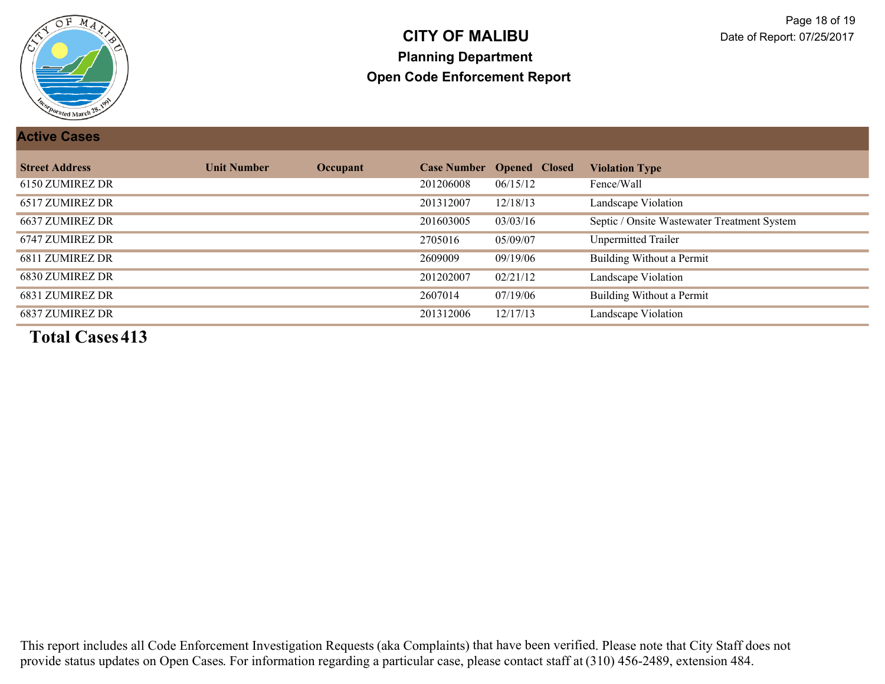

#### **Active Cases**

| <b>Street Address</b> | <b>Unit Number</b> | Occupant |           | <b>Case Number Opened Closed</b> | <b>Violation Type</b>                       |
|-----------------------|--------------------|----------|-----------|----------------------------------|---------------------------------------------|
| 6150 ZUMIREZ DR       |                    |          | 201206008 | 06/15/12                         | Fence/Wall                                  |
| 6517 ZUMIREZ DR       |                    |          | 201312007 | 12/18/13                         | Landscape Violation                         |
| 6637 ZUMIREZ DR       |                    |          | 201603005 | 03/03/16                         | Septic / Onsite Wastewater Treatment System |
| 6747 ZUMIREZ DR       |                    |          | 2705016   | 05/09/07                         | <b>Unpermitted Trailer</b>                  |
| 6811 ZUMIREZ DR       |                    |          | 2609009   | 09/19/06                         | Building Without a Permit                   |
| 6830 ZUMIREZ DR       |                    |          | 201202007 | 02/21/12                         | Landscape Violation                         |
| 6831 ZUMIREZ DR       |                    |          | 2607014   | 07/19/06                         | Building Without a Permit                   |
| 6837 ZUMIREZ DR       |                    |          | 201312006 | 12/17/13                         | Landscape Violation                         |

**Total Cases413**